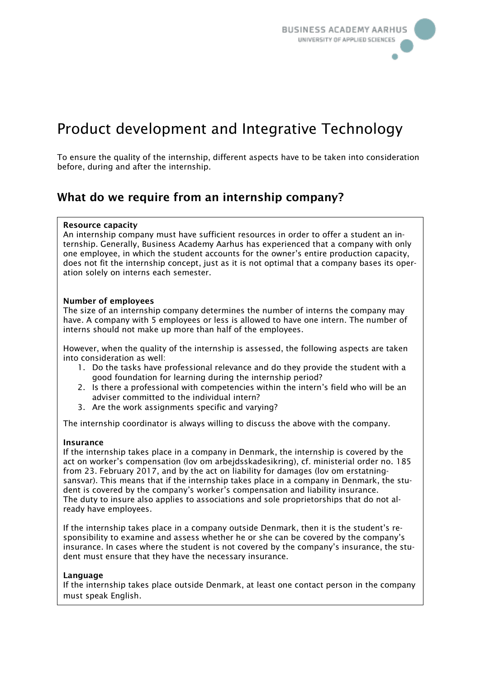

# Product development and Integrative Technology

To ensure the quality of the internship, different aspects have to be taken into consideration before, during and after the internship.

## What do we require from an internship company?

#### Resource capacity

An internship company must have sufficient resources in order to offer a student an internship. Generally, Business Academy Aarhus has experienced that a company with only one employee, in which the student accounts for the owner's entire production capacity, does not fit the internship concept, just as it is not optimal that a company bases its operation solely on interns each semester.

#### Number of employees

The size of an internship company determines the number of interns the company may have. A company with 5 employees or less is allowed to have one intern. The number of interns should not make up more than half of the employees.

However, when the quality of the internship is assessed, the following aspects are taken into consideration as well:

- 1. Do the tasks have professional relevance and do they provide the student with a good foundation for learning during the internship period?
- 2. Is there a professional with competencies within the intern's field who will be an adviser committed to the individual intern?
- 3. Are the work assignments specific and varying?

The internship coordinator is always willing to discuss the above with the company.

#### Insurance

If the internship takes place in a company in Denmark, the internship is covered by the act on worker's compensation (lov om arbejdsskadesikring), cf. ministerial order no. 185 from 23. February 2017, and by the act on liability for damages (lov om erstatningsansvar). This means that if the internship takes place in a company in Denmark, the student is covered by the company's worker's compensation and liability insurance. The duty to insure also applies to associations and sole proprietorships that do not already have employees.

If the internship takes place in a company outside Denmark, then it is the student's responsibility to examine and assess whether he or she can be covered by the company's insurance. In cases where the student is not covered by the company's insurance, the student must ensure that they have the necessary insurance.

#### Language

If the internship takes place outside Denmark, at least one contact person in the company must speak English.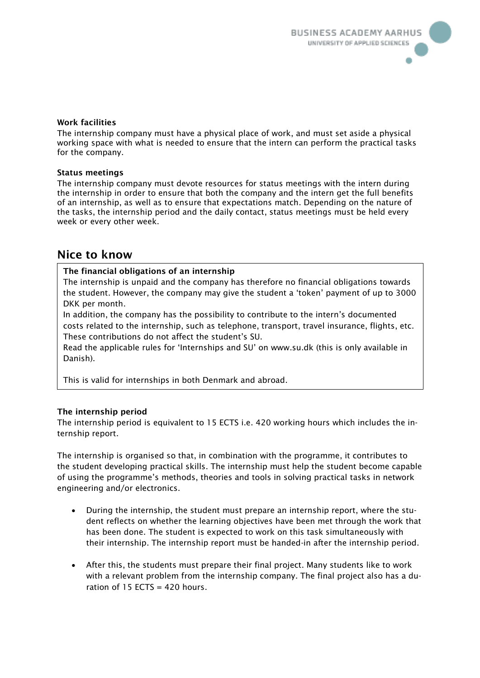#### Work facilities

The internship company must have a physical place of work, and must set aside a physical working space with what is needed to ensure that the intern can perform the practical tasks for the company.

#### Status meetings

The internship company must devote resources for status meetings with the intern during the internship in order to ensure that both the company and the intern get the full benefits of an internship, as well as to ensure that expectations match. Depending on the nature of the tasks, the internship period and the daily contact, status meetings must be held every week or every other week.

### Nice to know

#### The financial obligations of an internship

The internship is unpaid and the company has therefore no financial obligations towards the student. However, the company may give the student a 'token' payment of up to 3000 DKK per month.

In addition, the company has the possibility to contribute to the intern's documented costs related to the internship, such as telephone, transport, travel insurance, flights, etc. These contributions do not affect the student's SU.

Read the applicable rules for 'Internships and SU' on www.su.dk (this is only available in Danish).

This is valid for internships in both Denmark and abroad.

#### The internship period

The internship period is equivalent to 15 ECTS i.e. 420 working hours which includes the internship report.

The internship is organised so that, in combination with the programme, it contributes to the student developing practical skills. The internship must help the student become capable of using the programme's methods, theories and tools in solving practical tasks in network engineering and/or electronics.

- During the internship, the student must prepare an internship report, where the student reflects on whether the learning objectives have been met through the work that has been done. The student is expected to work on this task simultaneously with their internship. The internship report must be handed-in after the internship period.
- After this, the students must prepare their final project. Many students like to work with a relevant problem from the internship company. The final project also has a duration of  $15$  ECTS = 420 hours.